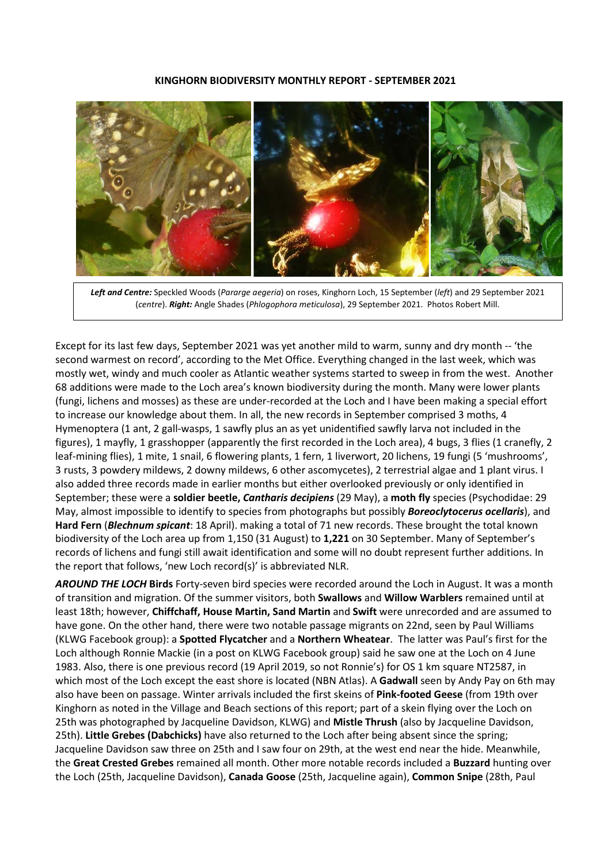### **KINGHORN BIODIVERSITY MONTHLY REPORT - SEPTEMBER 2021**



*Left and Centre:* Speckled Woods (*Pararge aegeria*) on roses, Kinghorn Loch, 15 September (*left*) and 29 September 2021 (*centre*). *Right:* Angle Shades (*Phlogophora meticulosa*), 29 September 2021. Photos Robert Mill.

Except for its last few days, September 2021 was yet another mild to warm, sunny and dry month -- 'the second warmest on record', according to the Met Office. Everything changed in the last week, which was mostly wet, windy and much cooler as Atlantic weather systems started to sweep in from the west. Another 68 additions were made to the Loch area's known biodiversity during the month. Many were lower plants (fungi, lichens and mosses) as these are under-recorded at the Loch and I have been making a special effort to increase our knowledge about them. In all, the new records in September comprised 3 moths, 4 Hymenoptera (1 ant, 2 gall-wasps, 1 sawfly plus an as yet unidentified sawfly larva not included in the figures), 1 mayfly, 1 grasshopper (apparently the first recorded in the Loch area), 4 bugs, 3 flies (1 cranefly, 2 leaf-mining flies), 1 mite, 1 snail, 6 flowering plants, 1 fern, 1 liverwort, 20 lichens, 19 fungi (5 'mushrooms', 3 rusts, 3 powdery mildews, 2 downy mildews, 6 other ascomycetes), 2 terrestrial algae and 1 plant virus. I also added three records made in earlier months but either overlooked previously or only identified in September; these were a **soldier beetle,** *Cantharis decipiens* (29 May), a **moth fly** species (Psychodidae: 29 May, almost impossible to identify to species from photographs but possibly *Boreoclytocerus ocellaris*), and **Hard Fern** (*Blechnum spicant*: 18 April). making a total of 71 new records. These brought the total known biodiversity of the Loch area up from 1,150 (31 August) to **1,221** on 30 September. Many of September's records of lichens and fungi still await identification and some will no doubt represent further additions. In the report that follows, 'new Loch record(s)' is abbreviated NLR.

*AROUND THE LOCH* **Birds** Forty-seven bird species were recorded around the Loch in August. It was a month of transition and migration. Of the summer visitors, both **Swallows** and **Willow Warblers** remained until at least 18th; however, **Chiffchaff, House Martin, Sand Martin** and **Swift** were unrecorded and are assumed to have gone. On the other hand, there were two notable passage migrants on 22nd, seen by Paul Williams (KLWG Facebook group): a **Spotted Flycatcher** and a **Northern Wheatear**.The latter was Paul's first for the Loch although Ronnie Mackie (in a post on KLWG Facebook group) said he saw one at the Loch on 4 June 1983. Also, there is one previous record (19 April 2019, so not Ronnie's) for OS 1 km square NT2587, in which most of the Loch except the east shore is located (NBN Atlas). A **Gadwall** seen by Andy Pay on 6th may also have been on passage. Winter arrivals included the first skeins of **Pink-footed Geese** (from 19th over Kinghorn as noted in the Village and Beach sections of this report; part of a skein flying over the Loch on 25th was photographed by Jacqueline Davidson, KLWG) and **Mistle Thrush** (also by Jacqueline Davidson, 25th). **Little Grebes (Dabchicks)** have also returned to the Loch after being absent since the spring; Jacqueline Davidson saw three on 25th and I saw four on 29th, at the west end near the hide. Meanwhile, the **Great Crested Grebes** remained all month. Other more notable records included a **Buzzard** hunting over the Loch (25th, Jacqueline Davidson), **Canada Goose** (25th, Jacqueline again), **Common Snipe** (28th, Paul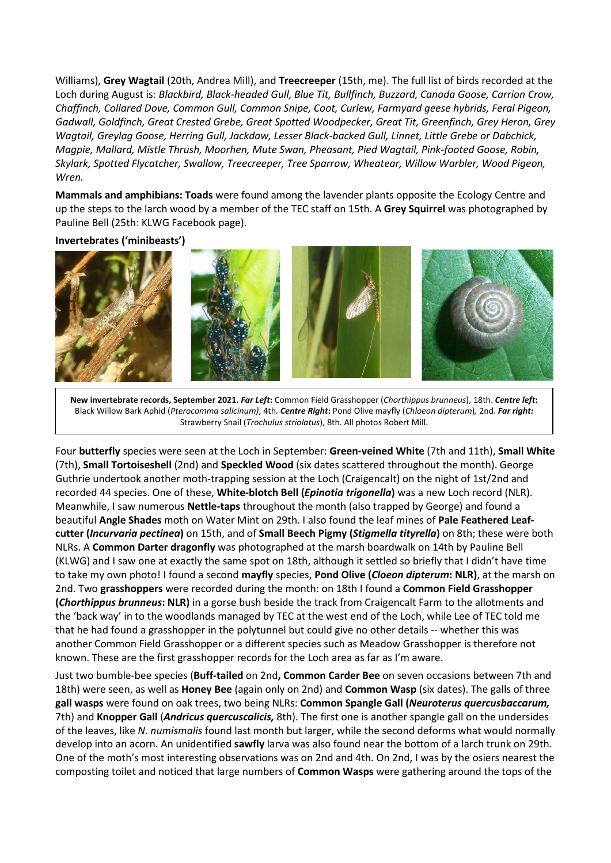Williams), **Grey Wagtail** (20th, Andrea Mill), and **Treecreeper** (15th, me). The full list of birds recorded at the Loch during August is: *Blackbird, Black-headed Gull, Blue Tit, Bullfinch, Buzzard, Canada Goose, Carrion Crow, Chaffinch, Collared Dove, Common Gull, Common Snipe, Coot, Curlew, Farmyard geese hybrids, Feral Pigeon, Gadwall, Goldfinch, Great Crested Grebe, Great Spotted Woodpecker, Great Tit, Greenfinch, Grey Heron, Grey Wagtail, Greylag Goose, Herring Gull, Jackdaw, Lesser Black-backed Gull, Linnet, Little Grebe or Dabchick, Magpie, Mallard, Mistle Thrush, Moorhen, Mute Swan, Pheasant, Pied Wagtail, Pink-footed Goose, Robin, Skylark, Spotted Flycatcher, Swallow, Treecreeper, Tree Sparrow, Wheatear, Willow Warbler, Wood Pigeon, Wren.* 

**Mammals and amphibians: Toads** were found among the lavender plants opposite the Ecology Centre and up the steps to the larch wood by a member of the TEC staff on 15th. A **Grey Squirrel** was photographed by Pauline Bell (25th: KLWG Facebook page).

# **Invertebrates ('minibeasts')**



**New invertebrate records, September 2021.** *Far Left***:** Common Field Grasshopper (*Chorthippus brunneus*), 18th. *Centre left***:**  Black Willow Bark Aphid (*Pterocomma salicinum)*, 4th*. Centre Right***:** Pond Olive mayfly (*Chloeon dipterum*)*,* 2nd. *Far right:*  Strawberry Snail (*Trochulus striolatus*), 8th. All photos Robert Mill.

Four **butterfly** species were seen at the Loch in September: **Green-veined White** (7th and 11th), **Small White**  (7th), **Small Tortoiseshell** (2nd) and **Speckled Wood** (six dates scattered throughout the month). George Guthrie undertook another moth-trapping session at the Loch (Craigencalt) on the night of 1st/2nd and recorded 44 species. One of these, **White-blotch Bell (***Epinotia trigonella***)** was a new Loch record (NLR). Meanwhile, I saw numerous **Nettle-taps** throughout the month (also trapped by George) and found a beautiful **Angle Shades** moth on Water Mint on 29th. I also found the leaf mines of **Pale Feathered Leafcutter (***Incurvaria pectinea***)** on 15th, and of **Small Beech Pigmy (***Stigmella tityrella***)** on 8th; these were both NLRs. A **Common Darter dragonfly** was photographed at the marsh boardwalk on 14th by Pauline Bell (KLWG) and I saw one at exactly the same spot on 18th, although it settled so briefly that I didn't have time to take my own photo! I found a second **mayfly** species, **Pond Olive (***Cloeon dipterum***: NLR)**, at the marsh on 2nd. Two **grasshoppers** were recorded during the month: on 18th I found a **Common Field Grasshopper (***Chorthippus brunneus***: NLR)** in a gorse bush beside the track from Craigencalt Farm to the allotments and the 'back way' in to the woodlands managed by TEC at the west end of the Loch, while Lee of TEC told me that he had found a grasshopper in the polytunnel but could give no other details -- whether this was another Common Field Grasshopper or a different species such as Meadow Grasshopper is therefore not known. These are the first grasshopper records for the Loch area as far as I'm aware.

Just two bumble-bee species (**Buff-tailed** on 2nd**, Common Carder Bee** on seven occasions between 7th and 18th) were seen, as well as **Honey Bee** (again only on 2nd) and **Common Wasp** (six dates). The galls of three **gall wasps** were found on oak trees, two being NLRs: **Common Spangle Gall (***Neuroterus quercusbaccarum,*  7th) and **Knopper Gall** (*Andricus quercuscalicis,* 8th). The first one is another spangle gall on the undersides of the leaves, like *N. numismalis* found last month but larger, while the second deforms what would normally develop into an acorn. An unidentified **sawfly** larva was also found near the bottom of a larch trunk on 29th. One of the moth's most interesting observations was on 2nd and 4th. On 2nd, I was by the osiers nearest the composting toilet and noticed that large numbers of **Common Wasps** were gathering around the tops of the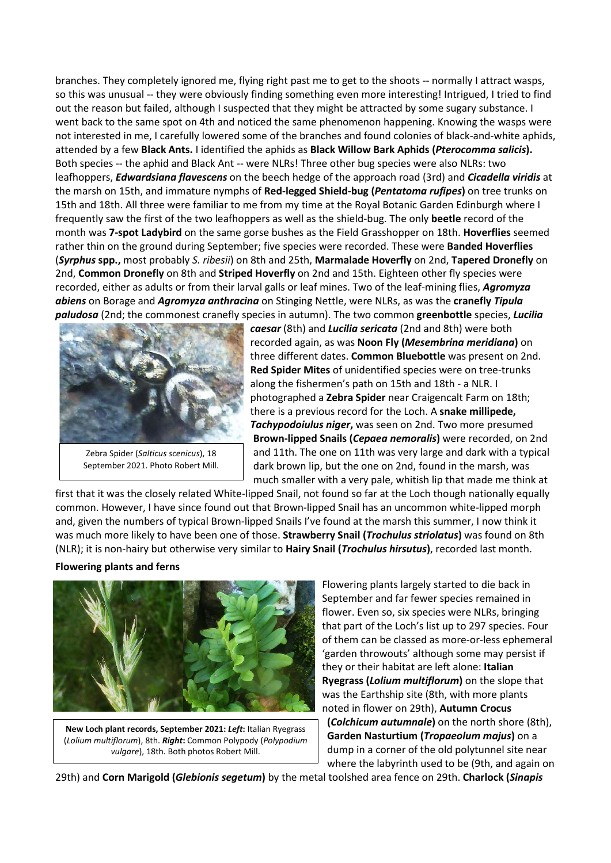branches. They completely ignored me, flying right past me to get to the shoots -- normally I attract wasps, so this was unusual -- they were obviously finding something even more interesting! Intrigued, I tried to find out the reason but failed, although I suspected that they might be attracted by some sugary substance. I went back to the same spot on 4th and noticed the same phenomenon happening. Knowing the wasps were not interested in me, I carefully lowered some of the branches and found colonies of black-and-white aphids, attended by a few **Black Ants.** I identified the aphids as **Black Willow Bark Aphids (***Pterocomma salicis***).** Both species -- the aphid and Black Ant -- were NLRs! Three other bug species were also NLRs: two leafhoppers, *Edwardsiana flavescens* on the beech hedge of the approach road (3rd) and *Cicadella viridis* at the marsh on 15th, and immature nymphs of **Red-legged Shield-bug (***Pentatoma rufipes***)** on tree trunks on 15th and 18th. All three were familiar to me from my time at the Royal Botanic Garden Edinburgh where I frequently saw the first of the two leafhoppers as well as the shield-bug. The only **beetle** record of the month was **7-spot Ladybird** on the same gorse bushes as the Field Grasshopper on 18th. **Hoverflies** seemed rather thin on the ground during September; five species were recorded. These were **Banded Hoverflies**  (*Syrphus* **spp.,** most probably *S. ribesii*) on 8th and 25th, **Marmalade Hoverfly** on 2nd, **Tapered Dronefly** on 2nd, **Common Dronefly** on 8th and **Striped Hoverfly** on 2nd and 15th. Eighteen other fly species were recorded, either as adults or from their larval galls or leaf mines. Two of the leaf-mining flies, *Agromyza abiens* on Borage and *Agromyza anthracina* on Stinging Nettle, were NLRs, as was the **cranefly** *Tipula paludosa* (2nd; the commonest cranefly species in autumn). The two common **greenbottle** species, *Lucilia* 



Zebra Spider (*Salticus scenicus*), 18 September 2021. Photo Robert Mill.

*caesar* (8th) and *Lucilia sericata* (2nd and 8th) were both recorded again, as was **Noon Fly (***Mesembrina meridiana***)** on three different dates. **Common Bluebottle** was present on 2nd. **Red Spider Mites** of unidentified species were on tree-trunks along the fishermen's path on 15th and 18th - a NLR. I photographed a **Zebra Spider** near Craigencalt Farm on 18th; there is a previous record for the Loch. A **snake millipede,**  *Tachypodoiulus niger***,** was seen on 2nd. Two more presumed **Brown-lipped Snails (***Cepaea nemoralis***)** were recorded, on 2nd and 11th. The one on 11th was very large and dark with a typical dark brown lip, but the one on 2nd, found in the marsh, was much smaller with a very pale, whitish lip that made me think at

first that it was the closely related White-lipped Snail, not found so far at the Loch though nationally equally common. However, I have since found out that Brown-lipped Snail has an uncommon white-lipped morph and, given the numbers of typical Brown-lipped Snails I've found at the marsh this summer, I now think it was much more likely to have been one of those. **Strawberry Snail (***Trochulus striolatus***)** was found on 8th (NLR); it is non-hairy but otherwise very similar to **Hairy Snail (***Trochulus hirsutus***)**, recorded last month.

# **Flowering plants and ferns**



**New Loch plant records, September 2021:** *Left***:** Italian Ryegrass (*Lolium multiflorum*), 8th. *Right***:** Common Polypody (*Polypodium vulgare*), 18th. Both photos Robert Mill.

Flowering plants largely started to die back in September and far fewer species remained in flower. Even so, six species were NLRs, bringing that part of the Loch's list up to 297 species. Four of them can be classed as more-or-less ephemeral 'garden throwouts' although some may persist if they or their habitat are left alone: **Italian Ryegrass (***Lolium multiflorum***)** on the slope that was the Earthship site (8th, with more plants noted in flower on 29th), **Autumn Crocus (***Colchicum autumnale***)** on the north shore (8th), **Garden Nasturtium (***Tropaeolum majus***)** on a dump in a corner of the old polytunnel site near where the labyrinth used to be (9th, and again on

29th) and **Corn Marigold (***Glebionis segetum***)** by the metal toolshed area fence on 29th. **Charlock (***Sinapis*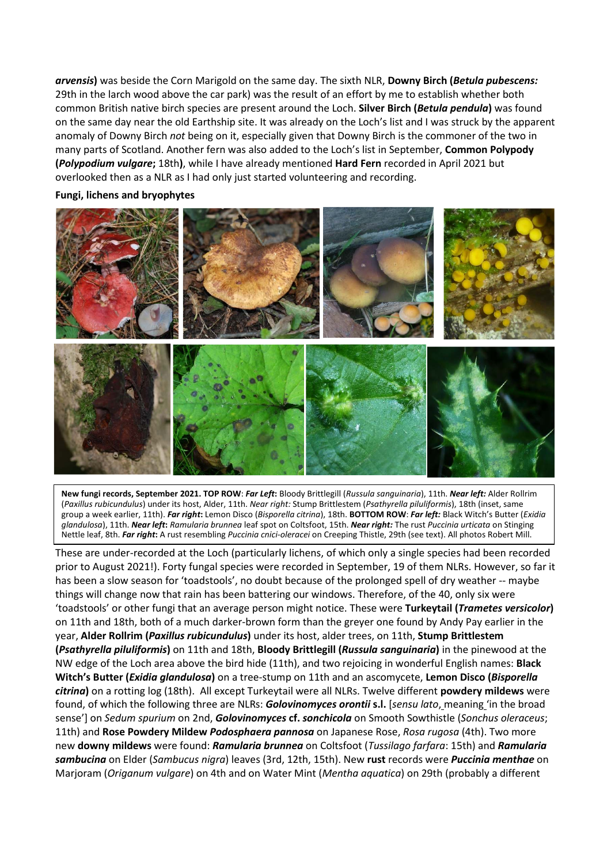*arvensis***)** was beside the Corn Marigold on the same day. The sixth NLR, **Downy Birch (***Betula pubescens:*  29th in the larch wood above the car park) was the result of an effort by me to establish whether both common British native birch species are present around the Loch. **Silver Birch (***Betula pendula***)** was found on the same day near the old Earthship site. It was already on the Loch's list and I was struck by the apparent anomaly of Downy Birch *not* being on it, especially given that Downy Birch is the commoner of the two in many parts of Scotland. Another fern was also added to the Loch's list in September, **Common Polypody (***Polypodium vulgare***;** 18th**)**, while I have already mentioned **Hard Fern** recorded in April 2021 but overlooked then as a NLR as I had only just started volunteering and recording.

## **Fungi, lichens and bryophytes**



**New fungi records, September 2021. TOP ROW**: *Far Left***:** Bloody Brittlegill (*Russula sanguinaria*), 11th. *Near left:* Alder Rollrim (*Paxillus rubicundulus*) under its host, Alder, 11th. *Near right:* Stump Brittlestem (*Psathyrella piluliformis*), 18th (inset, same group a week earlier, 11th). *Far right***:** Lemon Disco (*Bisporella citrina*), 18th. **BOTTOM ROW**: *Far left:* Black Witch's Butter (*Exidia glandulosa*), 11th. *Near left***:** *Ramularia brunnea* leaf spot on Coltsfoot, 15th. *Near right:* The rust *Puccinia urticata* on Stinging Nettle leaf, 8th. *Far right***:** A rust resembling *Puccinia cnici-oleracei* on Creeping Thistle, 29th (see text). All photos Robert Mill.

These are under-recorded at the Loch (particularly lichens, of which only a single species had been recorded prior to August 2021!). Forty fungal species were recorded in September, 19 of them NLRs. However, so far it has been a slow season for 'toadstools', no doubt because of the prolonged spell of dry weather -- maybe things will change now that rain has been battering our windows. Therefore, of the 40, only six were 'toadstools' or other fungi that an average person might notice. These were **Turkeytail (***Trametes versicolor***)** on 11th and 18th, both of a much darker-brown form than the greyer one found by Andy Pay earlier in the year, **Alder Rollrim (***Paxillus rubicundulus***)** under its host, alder trees, on 11th, **Stump Brittlestem (***Psathyrella piluliformis***)** on 11th and 18th, **Bloody Brittlegill (***Russula sanguinaria***)** in the pinewood at the NW edge of the Loch area above the bird hide (11th), and two rejoicing in wonderful English names: **Black Witch's Butter (***Exidia glandulosa***)** on a tree-stump on 11th and an ascomycete, **Lemon Disco (***Bisporella citrina***)** on a rotting log (18th). All except Turkeytail were all NLRs. Twelve different **powdery mildews** were found, of which the following three are NLRs: *Golovinomyces orontii* **s.l.** [*sensu lato*, meaning 'in the broad sense'] on *Sedum spurium* on 2nd, *Golovinomyces* **cf.** *sonchicola* on Smooth Sowthistle (*Sonchus oleraceus*; 11th) and **Rose Powdery Mildew** *Podosphaera pannosa* on Japanese Rose, *Rosa rugosa* (4th). Two more new **downy mildews** were found: *Ramularia brunnea* on Coltsfoot (*Tussilago farfara*: 15th) and *Ramularia sambucina* on Elder (*Sambucus nigra*) leaves (3rd, 12th, 15th). New **rust** records were *Puccinia menthae* on Marjoram (*Origanum vulgare*) on 4th and on Water Mint (*Mentha aquatica*) on 29th (probably a different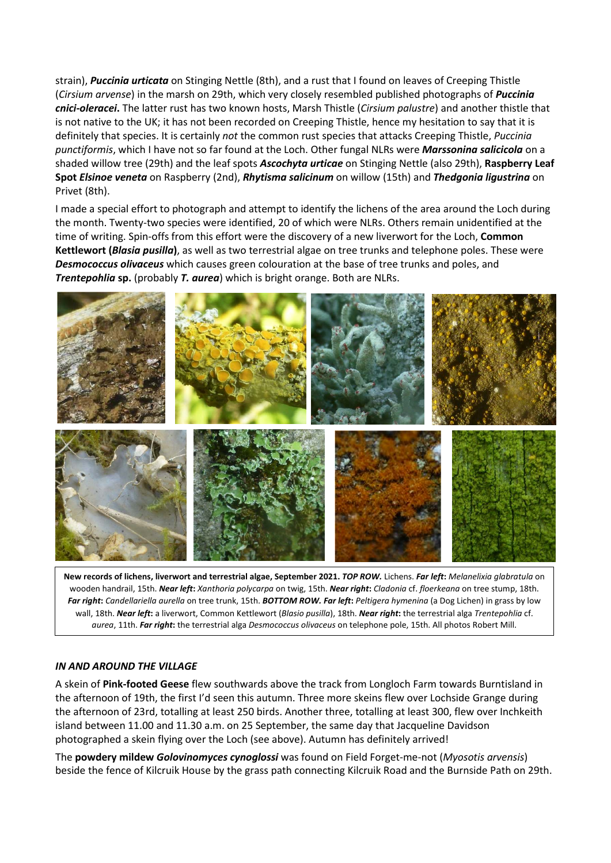strain), *Puccinia urticata* on Stinging Nettle (8th), and a rust that I found on leaves of Creeping Thistle (*Cirsium arvense*) in the marsh on 29th, which very closely resembled published photographs of *Puccinia cnici-oleracei***.** The latter rust has two known hosts, Marsh Thistle (*Cirsium palustre*) and another thistle that is not native to the UK; it has not been recorded on Creeping Thistle, hence my hesitation to say that it is definitely that species. It is certainly *not* the common rust species that attacks Creeping Thistle, *Puccinia punctiformis*, which I have not so far found at the Loch. Other fungal NLRs were *Marssonina salicicola* on a shaded willow tree (29th) and the leaf spots *Ascochyta urticae* on Stinging Nettle (also 29th), **Raspberry Leaf Spot** *Elsinoe veneta* on Raspberry (2nd), *Rhytisma salicinum* on willow (15th) and *Thedgonia ligustrina* on Privet (8th).

I made a special effort to photograph and attempt to identify the lichens of the area around the Loch during the month. Twenty-two species were identified, 20 of which were NLRs. Others remain unidentified at the time of writing. Spin-offs from this effort were the discovery of a new liverwort for the Loch, **Common Kettlewort (***Blasia pusilla***)**, as well as two terrestrial algae on tree trunks and telephone poles. These were *Desmococcus olivaceus* which causes green colouration at the base of tree trunks and poles, and *Trentepohlia sp.* (probably *T. aurea*) which is bright orange. Both are NLRs.



**New records of lichens, liverwort and terrestrial algae, September 2021.** *TOP ROW.* Lichens. *Far left***:** *Melanelixia glabratula* on wooden handrail, 15th. *Near left***:** *Xanthoria polycarpa* on twig, 15th. *Near right***:** *Cladonia* cf. *floerkeana* on tree stump, 18th. *Far right***:** *Candellariella aurella* on tree trunk, 15th. *BOTTOM ROW. Far left***:** *Peltigera hymenina* (a Dog Lichen) in grass by low wall, 18th. *Near left***:** a liverwort, Common Kettlewort (*Blasio pusilla*), 18th. *Near right***:** the terrestrial alga *Trentepohlia* cf. *aurea*, 11th. *Far right***:** the terrestrial alga *Desmococcus olivaceus* on telephone pole, 15th. All photos Robert Mill.

# *IN AND AROUND THE VILLAGE*

A skein of **Pink-footed Geese** flew southwards above the track from Longloch Farm towards Burntisland in the afternoon of 19th, the first I'd seen this autumn. Three more skeins flew over Lochside Grange during the afternoon of 23rd, totalling at least 250 birds. Another three, totalling at least 300, flew over Inchkeith island between 11.00 and 11.30 a.m. on 25 September, the same day that Jacqueline Davidson photographed a skein flying over the Loch (see above). Autumn has definitely arrived!

The **powdery mildew** *Golovinomyces cynoglossi* was found on Field Forget-me-not (*Myosotis arvensis*) beside the fence of Kilcruik House by the grass path connecting Kilcruik Road and the Burnside Path on 29th.